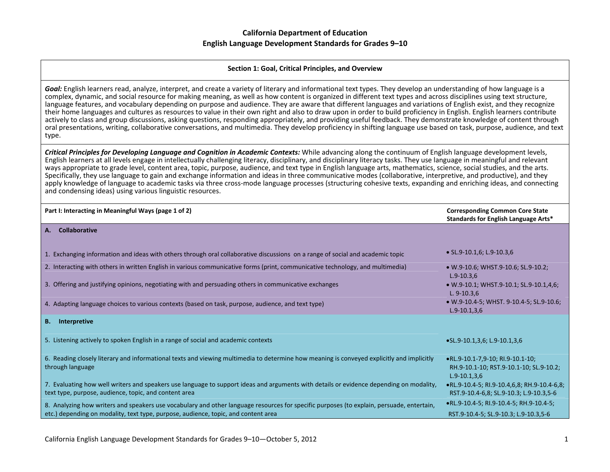#### **Section 1: Goal, Critical Principles, and Overview**

*Goal:* English learners read, analyze, interpret, and create <sup>a</sup> variety of literary and informational text types. They develop an understanding of how language is <sup>a</sup> complex, dynamic, and social resource for making meaning, as well as how content is organized in different text types and across disciplines using text structure, language features, and vocabulary depending on purpose and audience. They are aware that different languages and variations of English exist, and they recognize their home languages and cultures as resources to value in their own right and also to draw upon in order to build proficiency in English. English learners contribute actively to class and group discussions, asking questions, responding appropriately, and providing useful feedback. They demonstrate knowledge of content through oral presentations, writing, collaborative conversations, and multimedia. They develop proficiency in shifting language use based on task, purpose, audience, and text type.

**Critical Principles for Developing Language and Cognition in Academic Contexts:** While advancing along the continuum of English language development levels, English learners at all levels engage in intellectually challenging literacy, disciplinary, and disciplinary literacy tasks. They use language in meaningful and relevant ways appropriate to grade level, content area, topic, purpose, audience, and text type in English language arts, mathematics, science, social studies, and the arts. Specifically, they use language to gain and exchange information and ideas in three communicative modes (collaborative, interpretive, and productive), and they apply knowledge of language to academic tasks via three cross-mode language processes (structuring cohesive texts, expanding and enriching ideas, and connecting and condensing ideas) using various linguistic resources.

| Part I: Interacting in Meaningful Ways (page 1 of 2)                                                                                                                                             | <b>Corresponding Common Core State</b><br>Standards for English Language Arts*                |
|--------------------------------------------------------------------------------------------------------------------------------------------------------------------------------------------------|-----------------------------------------------------------------------------------------------|
| <b>Collaborative</b><br>А.                                                                                                                                                                       |                                                                                               |
| 1. Exchanging information and ideas with others through oral collaborative discussions on a range of social and academic topic                                                                   | $\bullet$ SL.9-10.1,6; L.9-10.3,6                                                             |
| 2. Interacting with others in written English in various communicative forms (print, communicative technology, and multimedia)                                                                   | • W.9-10.6; WHST.9-10.6; SL.9-10.2;<br>$L.9-10.3,6$                                           |
| 3. Offering and justifying opinions, negotiating with and persuading others in communicative exchanges                                                                                           | • W.9-10.1; WHST.9-10.1; SL.9-10.1,4,6;<br>$L. 9-10.3,6$                                      |
| 4. Adapting language choices to various contexts (based on task, purpose, audience, and text type)                                                                                               | • W.9-10.4-5; WHST. 9-10.4-5; SL.9-10.6;<br>$L.9-10.1,3,6$                                    |
| <b>B.</b> Interpretive                                                                                                                                                                           |                                                                                               |
| 5. Listening actively to spoken English in a range of social and academic contexts                                                                                                               | $\bullet$ SL.9-10.1,3,6; L.9-10.1,3,6                                                         |
| 6. Reading closely literary and informational texts and viewing multimedia to determine how meaning is conveyed explicitly and implicitly<br>through language                                    | •RL.9-10.1-7,9-10; RI.9-10.1-10;<br>RH.9-10.1-10; RST.9-10.1-10; SL.9-10.2;<br>$L.9-10.1,3.6$ |
| 7. Evaluating how well writers and speakers use language to support ideas and arguments with details or evidence depending on modality,<br>text type, purpose, audience, topic, and content area | •RL.9-10.4-5; RI.9-10.4,6,8; RH.9-10.4-6,8;<br>RST.9-10.4-6,8; SL.9-10.3; L.9-10.3,5-6        |
| 8. Analyzing how writers and speakers use vocabulary and other language resources for specific purposes (to explain, persuade, entertain,                                                        | •RL.9-10.4-5; RI.9-10.4-5; RH.9-10.4-5;                                                       |
| etc.) depending on modality, text type, purpose, audience, topic, and content area                                                                                                               | RST.9-10.4-5; SL.9-10.3; L.9-10.3,5-6                                                         |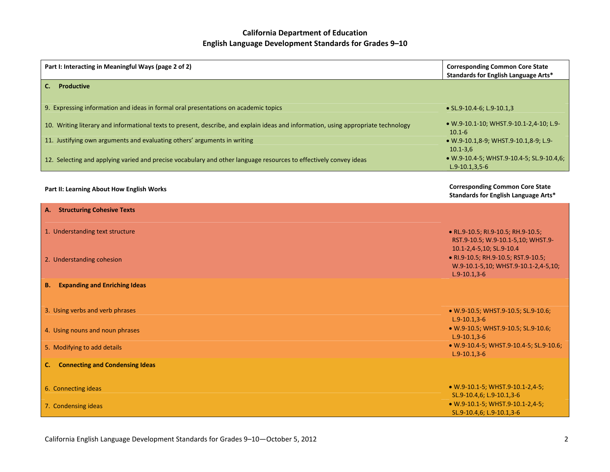| Part I: Interacting in Meaningful Ways (page 2 of 2)                                                                               | <b>Corresponding Common Core State</b><br>Standards for English Language Arts*                                                                                  |
|------------------------------------------------------------------------------------------------------------------------------------|-----------------------------------------------------------------------------------------------------------------------------------------------------------------|
| C. Productive                                                                                                                      |                                                                                                                                                                 |
| 9. Expressing information and ideas in formal oral presentations on academic topics                                                | • SL.9-10.4-6; L.9-10.1,3                                                                                                                                       |
| 10. Writing literary and informational texts to present, describe, and explain ideas and information, using appropriate technology | • W.9-10.1-10; WHST.9-10.1-2,4-10; L.9-<br>$10.1 - 6$                                                                                                           |
| 11. Justifying own arguments and evaluating others' arguments in writing                                                           | • W.9-10.1,8-9; WHST.9-10.1,8-9; L.9-<br>$10.1 - 3.6$                                                                                                           |
| 12. Selecting and applying varied and precise vocabulary and other language resources to effectively convey ideas                  | • W.9-10.4-5; WHST.9-10.4-5; SL.9-10.4,6;<br>$L.9-10.1, 3, 5-6$                                                                                                 |
| Part II: Learning About How English Works                                                                                          | <b>Corresponding Common Core State</b><br>Standards for English Language Arts*                                                                                  |
| <b>A.</b> Structuring Cohesive Texts                                                                                               |                                                                                                                                                                 |
| 1. Understanding text structure                                                                                                    | • RL.9-10.5; RI.9-10.5; RH.9-10.5;                                                                                                                              |
| 2. Understanding cohesion                                                                                                          | RST.9-10.5; W.9-10.1-5,10; WHST.9-<br>10.1-2,4-5,10; SL.9-10.4<br>• RI.9-10.5; RH.9-10.5; RST.9-10.5;<br>W.9-10.1-5,10; WHST.9-10.1-2,4-5,10;<br>$L.9-10.1,3-6$ |
| <b>B.</b> Expanding and Enriching Ideas                                                                                            |                                                                                                                                                                 |
| 3. Using verbs and verb phrases                                                                                                    | • W.9-10.5; WHST.9-10.5; SL.9-10.6;<br>$L.9-10.1, 3-6$                                                                                                          |
| 4. Using nouns and noun phrases                                                                                                    | · W.9-10.5; WHST.9-10.5; SL.9-10.6;<br>$L.9-10.1, 3-6$                                                                                                          |
| 5. Modifying to add details                                                                                                        | • W.9-10.4-5; WHST.9-10.4-5; SL.9-10.6;<br>$L.9 - 10.1, 3 - 6$                                                                                                  |
| <b>C.</b> Connecting and Condensing Ideas                                                                                          |                                                                                                                                                                 |
| 6. Connecting ideas                                                                                                                | • W.9-10.1-5; WHST.9-10.1-2,4-5;<br>SL.9-10.4,6; L.9-10.1,3-6                                                                                                   |
| 7. Condensing ideas                                                                                                                | • W.9-10.1-5; WHST.9-10.1-2,4-5;<br>SL.9-10.4,6; L.9-10.1,3-6                                                                                                   |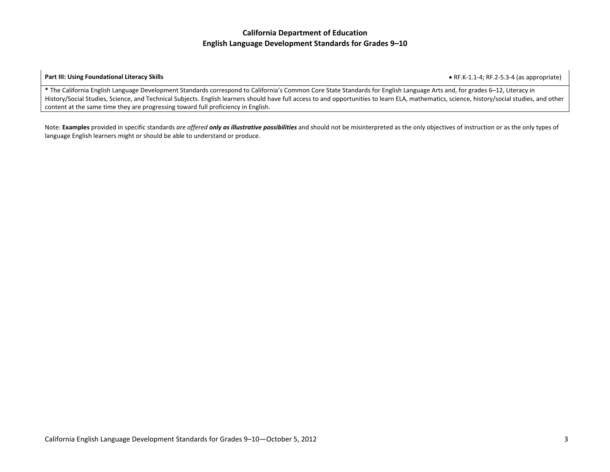#### **Part III: Using Foundational Literacy Skills**

**•** RF.K-1.1-4; RF.2-5.3-4 (as appropriate)

**\*** The California English Language Development Standards correspond to California's Common Core State Standards for English Language Arts and, for grades 6–12, Literacy in History/Social Studies, Science, and Technical Subjects. English learners should have full access to and opportunities to learn ELA, mathematics, science, history/social studies, and other content at the same time they are progressing toward full proficiency in English.

Note: **Examples** provided in specific standards *are offered only as illustrative possibilities* and should not be misinterpreted as the only objectives of instruction or as the only types of language English learners might or should be able to understand or produce.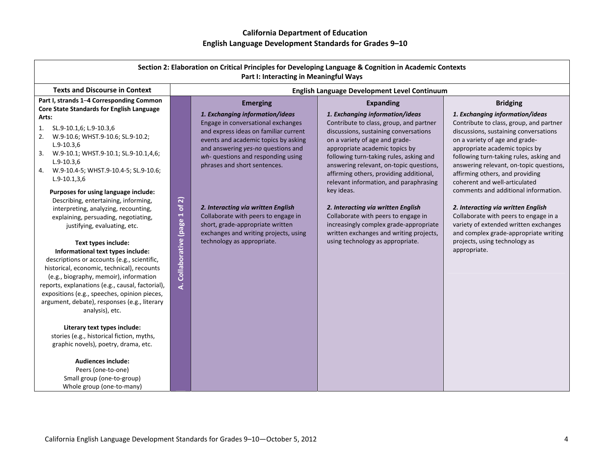|                                                                                                                                                                                                                                                                                                                                                                                                                                                                                                                                                                                                                                                                                                                                                                                                                                                                                                                                                                                                                                                                                                                                         |                                                                                                                                                                                                                                                                                                                                                                                              | Part I: Interacting in Meaningful Ways                                                                                                    | Section 2: Elaboration on Critical Principles for Developing Language & Cognition in Academic Contexts                                                                                                                                                                                                                                                                                                                                                                                                                                                                                                     |                                                                                                                                                                                                                                                                                                                                                                                                                                                                                                                                                                                                                                |
|-----------------------------------------------------------------------------------------------------------------------------------------------------------------------------------------------------------------------------------------------------------------------------------------------------------------------------------------------------------------------------------------------------------------------------------------------------------------------------------------------------------------------------------------------------------------------------------------------------------------------------------------------------------------------------------------------------------------------------------------------------------------------------------------------------------------------------------------------------------------------------------------------------------------------------------------------------------------------------------------------------------------------------------------------------------------------------------------------------------------------------------------|----------------------------------------------------------------------------------------------------------------------------------------------------------------------------------------------------------------------------------------------------------------------------------------------------------------------------------------------------------------------------------------------|-------------------------------------------------------------------------------------------------------------------------------------------|------------------------------------------------------------------------------------------------------------------------------------------------------------------------------------------------------------------------------------------------------------------------------------------------------------------------------------------------------------------------------------------------------------------------------------------------------------------------------------------------------------------------------------------------------------------------------------------------------------|--------------------------------------------------------------------------------------------------------------------------------------------------------------------------------------------------------------------------------------------------------------------------------------------------------------------------------------------------------------------------------------------------------------------------------------------------------------------------------------------------------------------------------------------------------------------------------------------------------------------------------|
| <b>Texts and Discourse in Context</b>                                                                                                                                                                                                                                                                                                                                                                                                                                                                                                                                                                                                                                                                                                                                                                                                                                                                                                                                                                                                                                                                                                   |                                                                                                                                                                                                                                                                                                                                                                                              |                                                                                                                                           | English Language Development Level Continuum                                                                                                                                                                                                                                                                                                                                                                                                                                                                                                                                                               |                                                                                                                                                                                                                                                                                                                                                                                                                                                                                                                                                                                                                                |
| Part I, strands 1-4 Corresponding Common<br>Core State Standards for English Language<br>Arts:<br>SL.9-10.1,6; L.9-10.3,6<br>1.<br>W.9-10.6; WHST.9-10.6; SL.9-10.2;<br>2.<br>$L.9-10.3,6$<br>W.9-10.1; WHST.9-10.1; SL.9-10.1,4,6;<br>3.<br>$L.9-10.3,6$<br>W.9-10.4-5; WHST.9-10.4-5; SL.9-10.6;<br>4.<br>$L.9-10.1,3,6$<br>Purposes for using language include:<br>Describing, entertaining, informing,<br>interpreting, analyzing, recounting,<br>explaining, persuading, negotiating,<br>justifying, evaluating, etc.<br>Text types include:<br>Informational text types include:<br>descriptions or accounts (e.g., scientific,<br>historical, economic, technical), recounts<br>(e.g., biography, memoir), information<br>reports, explanations (e.g., causal, factorial),<br>expositions (e.g., speeches, opinion pieces,<br>argument, debate), responses (e.g., literary<br>analysis), etc.<br>Literary text types include:<br>stories (e.g., historical fiction, myths,<br>graphic novels), poetry, drama, etc.<br><b>Audiences include:</b><br>Peers (one-to-one)<br>Small group (one-to-group)<br>Whole group (one-to-many) | 1. Exchanging information/ideas<br>Engage in conversational exchanges<br>and answering yes-no questions and<br>wh- questions and responding using<br>phrases and short sentences.<br>$\widehat{\mathbf{z}}$<br>Collaborative (page 1 of<br>2. Interacting via written English<br>Collaborate with peers to engage in<br>short, grade-appropriate written<br>technology as appropriate.<br>दं | <b>Emerging</b><br>and express ideas on familiar current<br>events and academic topics by asking<br>exchanges and writing projects, using | <b>Expanding</b><br>1. Exchanging information/ideas<br>Contribute to class, group, and partner<br>discussions, sustaining conversations<br>on a variety of age and grade-<br>appropriate academic topics by<br>following turn-taking rules, asking and<br>answering relevant, on-topic questions,<br>affirming others, providing additional,<br>relevant information, and paraphrasing<br>key ideas.<br>2. Interacting via written English<br>Collaborate with peers to engage in<br>increasingly complex grade-appropriate<br>written exchanges and writing projects,<br>using technology as appropriate. | <b>Bridging</b><br>1. Exchanging information/ideas<br>Contribute to class, group, and partner<br>discussions, sustaining conversations<br>on a variety of age and grade-<br>appropriate academic topics by<br>following turn-taking rules, asking and<br>answering relevant, on-topic questions,<br>affirming others, and providing<br>coherent and well-articulated<br>comments and additional information.<br>2. Interacting via written English<br>Collaborate with peers to engage in a<br>variety of extended written exchanges<br>and complex grade-appropriate writing<br>projects, using technology as<br>appropriate. |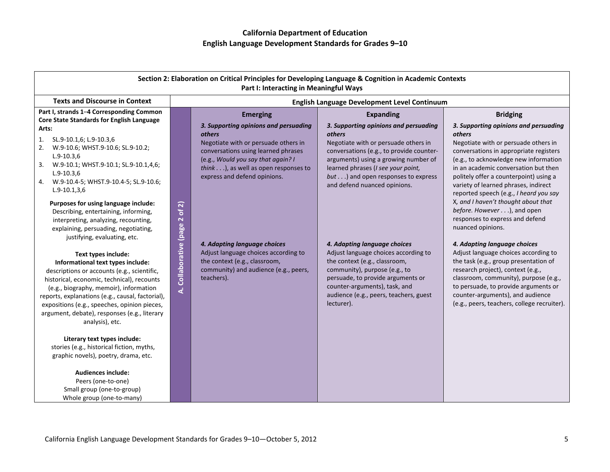|                                                                                                                                                                                                                                                                                                                                                                                                                                                                                                                                                                                                        |                                      | Part I: Interacting in Meaningful Ways                                                                                                                                                                                                                          | Section 2: Elaboration on Critical Principles for Developing Language & Cognition in Academic Contexts                                                                                                                                                                                                             |                                                                                                                                                                                                                                                                                                                                                                                                                                                     |
|--------------------------------------------------------------------------------------------------------------------------------------------------------------------------------------------------------------------------------------------------------------------------------------------------------------------------------------------------------------------------------------------------------------------------------------------------------------------------------------------------------------------------------------------------------------------------------------------------------|--------------------------------------|-----------------------------------------------------------------------------------------------------------------------------------------------------------------------------------------------------------------------------------------------------------------|--------------------------------------------------------------------------------------------------------------------------------------------------------------------------------------------------------------------------------------------------------------------------------------------------------------------|-----------------------------------------------------------------------------------------------------------------------------------------------------------------------------------------------------------------------------------------------------------------------------------------------------------------------------------------------------------------------------------------------------------------------------------------------------|
| <b>Texts and Discourse in Context</b>                                                                                                                                                                                                                                                                                                                                                                                                                                                                                                                                                                  |                                      |                                                                                                                                                                                                                                                                 | English Language Development Level Continuum                                                                                                                                                                                                                                                                       |                                                                                                                                                                                                                                                                                                                                                                                                                                                     |
| Part I, strands 1-4 Corresponding Common<br>Core State Standards for English Language<br>Arts:<br>SL.9-10.1,6; L.9-10.3,6<br>1.<br>W.9-10.6; WHST.9-10.6; SL.9-10.2;<br>2.<br>$L.9 - 10.3.6$<br>3.<br>W.9-10.1; WHST.9-10.1; SL.9-10.1,4,6;<br>$L.9-10.3,6$<br>4. W.9-10.4-5; WHST.9-10.4-5; SL.9-10.6;<br>$L.9-10.1,3,6$                                                                                                                                                                                                                                                                              |                                      | <b>Emerging</b><br>3. Supporting opinions and persuading<br>others<br>Negotiate with or persuade others in<br>conversations using learned phrases<br>(e.g., Would you say that again? I<br>think), as well as open responses to<br>express and defend opinions. | <b>Expanding</b><br>3. Supporting opinions and persuading<br><i>others</i><br>Negotiate with or persuade others in<br>conversations (e.g., to provide counter-<br>arguments) using a growing number of<br>learned phrases (I see your point,<br>but) and open responses to express<br>and defend nuanced opinions. | <b>Bridging</b><br>3. Supporting opinions and persuading<br>others<br>Negotiate with or persuade others in<br>conversations in appropriate registers<br>(e.g., to acknowledge new information<br>in an academic conversation but then<br>politely offer a counterpoint) using a<br>variety of learned phrases, indirect<br>reported speech (e.g., I heard you say                                                                                   |
| Purposes for using language include:<br>Describing, entertaining, informing,<br>interpreting, analyzing, recounting,<br>explaining, persuading, negotiating,<br>justifying, evaluating, etc.<br>Text types include:<br>Informational text types include:<br>descriptions or accounts (e.g., scientific,<br>historical, economic, technical), recounts<br>(e.g., biography, memoir), information<br>reports, explanations (e.g., causal, factorial),<br>expositions (e.g., speeches, opinion pieces,<br>argument, debate), responses (e.g., literary<br>analysis), etc.<br>Literary text types include: | of 2)<br>Collaborative (page 2<br>k, | 4. Adapting language choices<br>Adjust language choices according to<br>the context (e.g., classroom,<br>community) and audience (e.g., peers,<br>teachers).                                                                                                    | 4. Adapting language choices<br>Adjust language choices according to<br>the context (e.g., classroom,<br>community), purpose (e.g., to<br>persuade, to provide arguments or<br>counter-arguments), task, and<br>audience (e.g., peers, teachers, guest<br>lecturer).                                               | X, and I haven't thought about that<br>before. However), and open<br>responses to express and defend<br>nuanced opinions.<br>4. Adapting language choices<br>Adjust language choices according to<br>the task (e.g., group presentation of<br>research project), context (e.g.,<br>classroom, community), purpose (e.g.,<br>to persuade, to provide arguments or<br>counter-arguments), and audience<br>(e.g., peers, teachers, college recruiter). |
| stories (e.g., historical fiction, myths,<br>graphic novels), poetry, drama, etc.<br><b>Audiences include:</b><br>Peers (one-to-one)<br>Small group (one-to-group)<br>Whole group (one-to-many)                                                                                                                                                                                                                                                                                                                                                                                                        |                                      |                                                                                                                                                                                                                                                                 |                                                                                                                                                                                                                                                                                                                    |                                                                                                                                                                                                                                                                                                                                                                                                                                                     |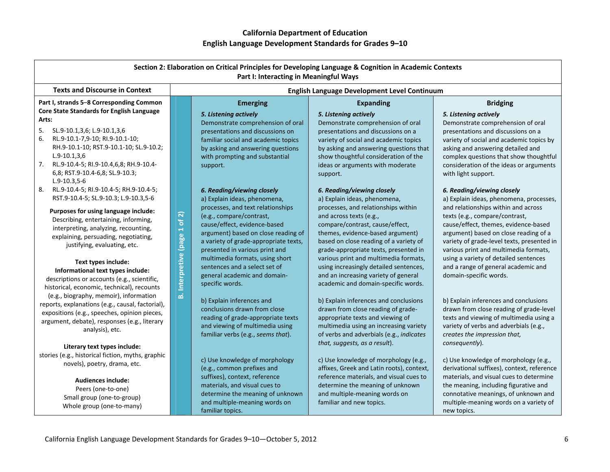| Section 2: Elaboration on Critical Principles for Developing Language & Cognition in Academic Contexts<br>Part I: Interacting in Meaningful Ways                                                                                                                                                                                                                                                       |                                                                                                                                                                                                                                                                                                                                                                                                                    |                                                                                                                                                                                                                                                                                                                                                                                       |                                                                                                                                                                                                                                                                                                                                                                                                                               |  |
|--------------------------------------------------------------------------------------------------------------------------------------------------------------------------------------------------------------------------------------------------------------------------------------------------------------------------------------------------------------------------------------------------------|--------------------------------------------------------------------------------------------------------------------------------------------------------------------------------------------------------------------------------------------------------------------------------------------------------------------------------------------------------------------------------------------------------------------|---------------------------------------------------------------------------------------------------------------------------------------------------------------------------------------------------------------------------------------------------------------------------------------------------------------------------------------------------------------------------------------|-------------------------------------------------------------------------------------------------------------------------------------------------------------------------------------------------------------------------------------------------------------------------------------------------------------------------------------------------------------------------------------------------------------------------------|--|
| <b>Texts and Discourse in Context</b>                                                                                                                                                                                                                                                                                                                                                                  | English Language Development Level Continuum                                                                                                                                                                                                                                                                                                                                                                       |                                                                                                                                                                                                                                                                                                                                                                                       |                                                                                                                                                                                                                                                                                                                                                                                                                               |  |
| Part I, strands 5-8 Corresponding Common<br>Core State Standards for English Language<br>Arts:<br>SL.9-10.1,3,6; L.9-10.1,3,6<br>5.<br>RL.9-10.1-7,9-10; RI.9-10.1-10;<br>6.<br>RH.9-10.1-10; RST.9-10.1-10; SL.9-10.2;<br>$L.9-10.1,3.6$<br>7.<br>RL.9-10.4-5; RI.9-10.4,6,8; RH.9-10.4-                                                                                                              | <b>Emerging</b><br>5. Listening actively<br>Demonstrate comprehension of oral<br>presentations and discussions on<br>familiar social and academic topics<br>by asking and answering questions<br>with prompting and substantial<br>support.                                                                                                                                                                        | <b>Expanding</b><br>5. Listening actively<br>Demonstrate comprehension of oral<br>presentations and discussions on a<br>variety of social and academic topics<br>by asking and answering questions that<br>show thoughtful consideration of the<br>ideas or arguments with moderate                                                                                                   | <b>Bridging</b><br>5. Listening actively<br>Demonstrate comprehension of oral<br>presentations and discussions on a<br>variety of social and academic topics by<br>asking and answering detailed and<br>complex questions that show thoughtful<br>consideration of the ideas or arguments                                                                                                                                     |  |
| 6,8; RST.9-10.4-6,8; SL.9-10.3;<br>$L.9-10.3,5-6$<br>RL.9-10.4-5; RI.9-10.4-5; RH.9-10.4-5;<br>8.<br>RST.9-10.4-5; SL.9-10.3; L.9-10.3,5-6<br>Purposes for using language include:<br>Describing, entertaining, informing,<br>interpreting, analyzing, recounting,<br>explaining, persuading, negotiating,<br>justifying, evaluating, etc.<br>Text types include:<br>Informational text types include: | 6. Reading/viewing closely<br>a) Explain ideas, phenomena,<br>processes, and text relationships<br>$\widehat{\mathbf{z}}$<br>(e.g., compare/contrast,<br>ቴ<br>cause/effect, evidence-based<br><b>B.</b> Interpretive (page 1<br>argument) based on close reading of<br>a variety of grade-appropriate texts,<br>presented in various print and<br>multimedia formats, using short<br>sentences and a select set of | support.<br>6. Reading/viewing closely<br>a) Explain ideas, phenomena,<br>processes, and relationships within<br>and across texts (e.g.,<br>compare/contrast, cause/effect,<br>themes, evidence-based argument)<br>based on close reading of a variety of<br>grade-appropriate texts, presented in<br>various print and multimedia formats,<br>using increasingly detailed sentences, | with light support.<br>6. Reading/viewing closely<br>a) Explain ideas, phenomena, processes,<br>and relationships within and across<br>texts (e.g., compare/contrast,<br>cause/effect, themes, evidence-based<br>argument) based on close reading of a<br>variety of grade-level texts, presented in<br>various print and multimedia formats,<br>using a variety of detailed sentences<br>and a range of general academic and |  |
| descriptions or accounts (e.g., scientific,<br>historical, economic, technical), recounts<br>(e.g., biography, memoir), information<br>reports, explanations (e.g., causal, factorial),<br>expositions (e.g., speeches, opinion pieces,<br>argument, debate), responses (e.g., literary<br>analysis), etc.<br>Literary text types include:                                                             | general academic and domain-<br>specific words.<br>b) Explain inferences and<br>conclusions drawn from close<br>reading of grade-appropriate texts<br>and viewing of multimedia using<br>familiar verbs (e.g., seems that).                                                                                                                                                                                        | and an increasing variety of general<br>academic and domain-specific words.<br>b) Explain inferences and conclusions<br>drawn from close reading of grade-<br>appropriate texts and viewing of<br>multimedia using an increasing variety<br>of verbs and adverbials (e.g., indicates<br>that, suggests, as a result).                                                                 | domain-specific words.<br>b) Explain inferences and conclusions<br>drawn from close reading of grade-level<br>texts and viewing of multimedia using a<br>variety of verbs and adverbials (e.g.,<br>creates the impression that,<br>consequently).                                                                                                                                                                             |  |
| stories (e.g., historical fiction, myths, graphic<br>novels), poetry, drama, etc.<br>Audiences include:<br>Peers (one-to-one)<br>Small group (one-to-group)<br>Whole group (one-to-many)                                                                                                                                                                                                               | c) Use knowledge of morphology<br>(e.g., common prefixes and<br>suffixes), context, reference<br>materials, and visual cues to<br>determine the meaning of unknown<br>and multiple-meaning words on<br>familiar topics.                                                                                                                                                                                            | c) Use knowledge of morphology (e.g.,<br>affixes, Greek and Latin roots), context,<br>reference materials, and visual cues to<br>determine the meaning of unknown<br>and multiple-meaning words on<br>familiar and new topics.                                                                                                                                                        | c) Use knowledge of morphology (e.g.,<br>derivational suffixes), context, reference<br>materials, and visual cues to determine<br>the meaning, including figurative and<br>connotative meanings, of unknown and<br>multiple-meaning words on a variety of<br>new topics.                                                                                                                                                      |  |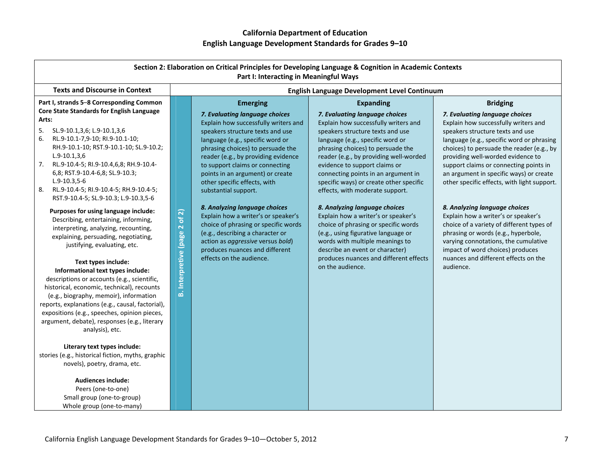| Section 2: Elaboration on Critical Principles for Developing Language & Cognition in Academic Contexts<br>Part I: Interacting in Meaningful Ways                                                                                                                                                                                                                                                                                                                                                                                                                                                                                                                                                                                                                                                                                                                                                                                                                                                                                                                                                                                                                                                                        |                                                            |                                                                                                                                                                                                                                                                                                                                                                                                                                                                                                                                                                                                                                     |                                                                                                                                                                                                                                                                                                                                                                                                                                                                                                                                                                                                                                                                                                    |                                                                                                                                                                                                                                                                                                                                                                                                                                                                                                                                                                                                                                                                                               |
|-------------------------------------------------------------------------------------------------------------------------------------------------------------------------------------------------------------------------------------------------------------------------------------------------------------------------------------------------------------------------------------------------------------------------------------------------------------------------------------------------------------------------------------------------------------------------------------------------------------------------------------------------------------------------------------------------------------------------------------------------------------------------------------------------------------------------------------------------------------------------------------------------------------------------------------------------------------------------------------------------------------------------------------------------------------------------------------------------------------------------------------------------------------------------------------------------------------------------|------------------------------------------------------------|-------------------------------------------------------------------------------------------------------------------------------------------------------------------------------------------------------------------------------------------------------------------------------------------------------------------------------------------------------------------------------------------------------------------------------------------------------------------------------------------------------------------------------------------------------------------------------------------------------------------------------------|----------------------------------------------------------------------------------------------------------------------------------------------------------------------------------------------------------------------------------------------------------------------------------------------------------------------------------------------------------------------------------------------------------------------------------------------------------------------------------------------------------------------------------------------------------------------------------------------------------------------------------------------------------------------------------------------------|-----------------------------------------------------------------------------------------------------------------------------------------------------------------------------------------------------------------------------------------------------------------------------------------------------------------------------------------------------------------------------------------------------------------------------------------------------------------------------------------------------------------------------------------------------------------------------------------------------------------------------------------------------------------------------------------------|
| <b>Texts and Discourse in Context</b>                                                                                                                                                                                                                                                                                                                                                                                                                                                                                                                                                                                                                                                                                                                                                                                                                                                                                                                                                                                                                                                                                                                                                                                   |                                                            |                                                                                                                                                                                                                                                                                                                                                                                                                                                                                                                                                                                                                                     | English Language Development Level Continuum                                                                                                                                                                                                                                                                                                                                                                                                                                                                                                                                                                                                                                                       |                                                                                                                                                                                                                                                                                                                                                                                                                                                                                                                                                                                                                                                                                               |
| Part I, strands 5-8 Corresponding Common<br>Core State Standards for English Language<br>Arts:<br>SL.9-10.1,3,6; L.9-10.1,3,6<br>5.<br>RL.9-10.1-7,9-10; RI.9-10.1-10;<br>6.<br>RH.9-10.1-10; RST.9-10.1-10; SL.9-10.2;<br>$L.9-10.1,3.6$<br>RL.9-10.4-5; RI.9-10.4,6,8; RH.9-10.4-<br>7.<br>6,8; RST.9-10.4-6,8; SL.9-10.3;<br>$L.9-10.3,5-6$<br>RL.9-10.4-5; RI.9-10.4-5; RH.9-10.4-5;<br>8.<br>RST.9-10.4-5; SL.9-10.3; L.9-10.3,5-6<br>Purposes for using language include:<br>Describing, entertaining, informing,<br>interpreting, analyzing, recounting,<br>explaining, persuading, negotiating,<br>justifying, evaluating, etc.<br>Text types include:<br>Informational text types include:<br>descriptions or accounts (e.g., scientific,<br>historical, economic, technical), recounts<br>(e.g., biography, memoir), information<br>reports, explanations (e.g., causal, factorial),<br>expositions (e.g., speeches, opinion pieces,<br>argument, debate), responses (e.g., literary<br>analysis), etc.<br>Literary text types include:<br>stories (e.g., historical fiction, myths, graphic<br>novels), poetry, drama, etc.<br><b>Audiences include:</b><br>Peers (one-to-one)<br>Small group (one-to-group) | of2)<br>$\overline{\mathbf{N}}$<br>Interpretive (page<br>ة | <b>Emerging</b><br>7. Evaluating language choices<br>Explain how successfully writers and<br>speakers structure texts and use<br>language (e.g., specific word or<br>phrasing choices) to persuade the<br>reader (e.g., by providing evidence<br>to support claims or connecting<br>points in an argument) or create<br>other specific effects, with<br>substantial support.<br>8. Analyzing language choices<br>Explain how a writer's or speaker's<br>choice of phrasing or specific words<br>(e.g., describing a character or<br>action as aggressive versus bold)<br>produces nuances and different<br>effects on the audience. | <b>Expanding</b><br>7. Evaluating language choices<br>Explain how successfully writers and<br>speakers structure texts and use<br>language (e.g., specific word or<br>phrasing choices) to persuade the<br>reader (e.g., by providing well-worded<br>evidence to support claims or<br>connecting points in an argument in<br>specific ways) or create other specific<br>effects, with moderate support.<br>8. Analyzing language choices<br>Explain how a writer's or speaker's<br>choice of phrasing or specific words<br>(e.g., using figurative language or<br>words with multiple meanings to<br>describe an event or character)<br>produces nuances and different effects<br>on the audience. | <b>Bridging</b><br>7. Evaluating language choices<br>Explain how successfully writers and<br>speakers structure texts and use<br>language (e.g., specific word or phrasing<br>choices) to persuade the reader (e.g., by<br>providing well-worded evidence to<br>support claims or connecting points in<br>an argument in specific ways) or create<br>other specific effects, with light support.<br>8. Analyzing language choices<br>Explain how a writer's or speaker's<br>choice of a variety of different types of<br>phrasing or words (e.g., hyperbole,<br>varying connotations, the cumulative<br>impact of word choices) produces<br>nuances and different effects on the<br>audience. |

Whole group (one‐to‐many)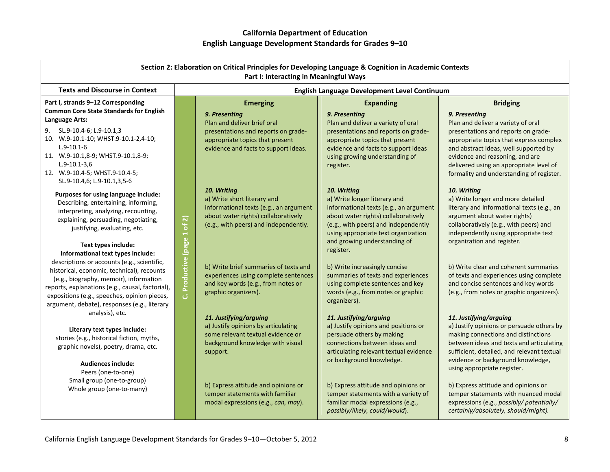|                                                                                                                                                                                                                                                                                                                                                     |                               | Part I: Interacting in Meaningful Ways                                                                                                                               | Section 2: Elaboration on Critical Principles for Developing Language & Cognition in Academic Contexts                                                                                                                                      |                                                                                                                                                                                                                                                                                         |  |
|-----------------------------------------------------------------------------------------------------------------------------------------------------------------------------------------------------------------------------------------------------------------------------------------------------------------------------------------------------|-------------------------------|----------------------------------------------------------------------------------------------------------------------------------------------------------------------|---------------------------------------------------------------------------------------------------------------------------------------------------------------------------------------------------------------------------------------------|-----------------------------------------------------------------------------------------------------------------------------------------------------------------------------------------------------------------------------------------------------------------------------------------|--|
| <b>Texts and Discourse in Context</b>                                                                                                                                                                                                                                                                                                               |                               | English Language Development Level Continuum                                                                                                                         |                                                                                                                                                                                                                                             |                                                                                                                                                                                                                                                                                         |  |
| Part I, strands 9-12 Corresponding<br><b>Common Core State Standards for English</b>                                                                                                                                                                                                                                                                |                               | <b>Emerging</b><br>9. Presenting                                                                                                                                     | <b>Expanding</b><br>9. Presenting                                                                                                                                                                                                           | <b>Bridging</b><br>9. Presenting                                                                                                                                                                                                                                                        |  |
| Language Arts:<br>9. SL.9-10.4-6; L.9-10.1,3<br>10. W.9-10.1-10; WHST.9-10.1-2,4-10;<br>$L.9 - 10.1 - 6$<br>11. W.9-10.1,8-9; WHST.9-10.1,8-9;<br>$L.9 - 10.1 - 3.6$<br>12. W.9-10.4-5; WHST.9-10.4-5;<br>SL.9-10.4,6; L.9-10.1,3,5-6                                                                                                               |                               | Plan and deliver brief oral<br>presentations and reports on grade-<br>appropriate topics that present<br>evidence and facts to support ideas.                        | Plan and deliver a variety of oral<br>presentations and reports on grade-<br>appropriate topics that present<br>evidence and facts to support ideas<br>using growing understanding of<br>register.                                          | Plan and deliver a variety of oral<br>presentations and reports on grade-<br>appropriate topics that express complex<br>and abstract ideas, well supported by<br>evidence and reasoning, and are<br>delivered using an appropriate level of<br>formality and understanding of register. |  |
| Purposes for using language include:<br>Describing, entertaining, informing,<br>interpreting, analyzing, recounting,<br>explaining, persuading, negotiating,<br>justifying, evaluating, etc.                                                                                                                                                        |                               | 10. Writing<br>a) Write short literary and<br>informational texts (e.g., an argument<br>about water rights) collaboratively<br>(e.g., with peers) and independently. | 10. Writing<br>a) Write longer literary and<br>informational texts (e.g., an argument<br>about water rights) collaboratively<br>(e.g., with peers) and independently<br>using appropriate text organization<br>and growing understanding of | 10. Writing<br>a) Write longer and more detailed<br>literary and informational texts (e.g., an<br>argument about water rights)<br>collaboratively (e.g., with peers) and<br>independently using appropriate text<br>organization and register.                                          |  |
| Text types include:<br>Informational text types include:<br>descriptions or accounts (e.g., scientific,<br>historical, economic, technical), recounts<br>(e.g., biography, memoir), information<br>reports, explanations (e.g., causal, factorial),<br>expositions (e.g., speeches, opinion pieces,<br>argument, debate), responses (e.g., literary | Productive (page 1 of 2)<br>ن | b) Write brief summaries of texts and<br>experiences using complete sentences<br>and key words (e.g., from notes or<br>graphic organizers).                          | register.<br>b) Write increasingly concise<br>summaries of texts and experiences<br>using complete sentences and key<br>words (e.g., from notes or graphic<br>organizers).                                                                  | b) Write clear and coherent summaries<br>of texts and experiences using complete<br>and concise sentences and key words<br>(e.g., from notes or graphic organizers).                                                                                                                    |  |
| analysis), etc.<br>Literary text types include:<br>stories (e.g., historical fiction, myths,<br>graphic novels), poetry, drama, etc.<br><b>Audiences include:</b><br>Peers (one-to-one)                                                                                                                                                             |                               | 11. Justifying/arguing<br>a) Justify opinions by articulating<br>some relevant textual evidence or<br>background knowledge with visual<br>support.                   | 11. Justifying/arguing<br>a) Justify opinions and positions or<br>persuade others by making<br>connections between ideas and<br>articulating relevant textual evidence<br>or background knowledge.                                          | 11. Justifying/arguing<br>a) Justify opinions or persuade others by<br>making connections and distinctions<br>between ideas and texts and articulating<br>sufficient, detailed, and relevant textual<br>evidence or background knowledge,<br>using appropriate register.                |  |
| Small group (one-to-group)<br>Whole group (one-to-many)                                                                                                                                                                                                                                                                                             |                               | b) Express attitude and opinions or<br>temper statements with familiar<br>modal expressions (e.g., can, may).                                                        | b) Express attitude and opinions or<br>temper statements with a variety of<br>familiar modal expressions (e.g.,<br>possibly/likely, could/would).                                                                                           | b) Express attitude and opinions or<br>temper statements with nuanced modal<br>expressions (e.g., possibly/ potentially/<br>certainly/absolutely, should/might).                                                                                                                        |  |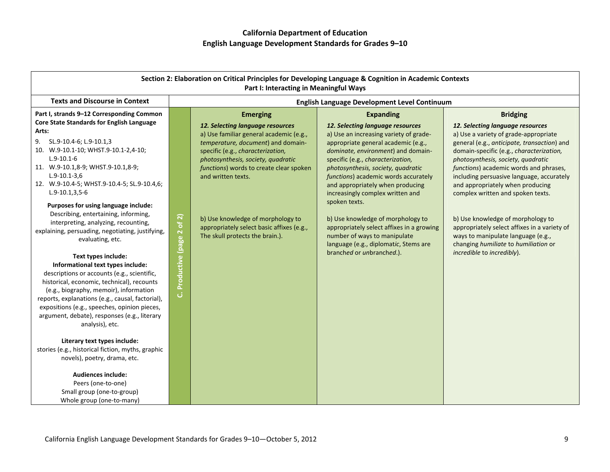| Section 2: Elaboration on Critical Principles for Developing Language & Cognition in Academic Contexts<br>Part I: Interacting in Meaningful Ways                                                                                                                                                                                                                                                                                                                                                                                                                                                                                                                                                                                                                                                                                                                                                                                                                                                                                                                                                                                           |                                |                                                                                                                                                                                                                                                                                                                                                                                                       |                                                                                                                                                                                                                                                                                                                                                                                                                                                                                                                                                                                 |                                                                                                                                                                                                                                                                                                                                                                                                                                                                                                                                                                                                |
|--------------------------------------------------------------------------------------------------------------------------------------------------------------------------------------------------------------------------------------------------------------------------------------------------------------------------------------------------------------------------------------------------------------------------------------------------------------------------------------------------------------------------------------------------------------------------------------------------------------------------------------------------------------------------------------------------------------------------------------------------------------------------------------------------------------------------------------------------------------------------------------------------------------------------------------------------------------------------------------------------------------------------------------------------------------------------------------------------------------------------------------------|--------------------------------|-------------------------------------------------------------------------------------------------------------------------------------------------------------------------------------------------------------------------------------------------------------------------------------------------------------------------------------------------------------------------------------------------------|---------------------------------------------------------------------------------------------------------------------------------------------------------------------------------------------------------------------------------------------------------------------------------------------------------------------------------------------------------------------------------------------------------------------------------------------------------------------------------------------------------------------------------------------------------------------------------|------------------------------------------------------------------------------------------------------------------------------------------------------------------------------------------------------------------------------------------------------------------------------------------------------------------------------------------------------------------------------------------------------------------------------------------------------------------------------------------------------------------------------------------------------------------------------------------------|
| <b>Texts and Discourse in Context</b>                                                                                                                                                                                                                                                                                                                                                                                                                                                                                                                                                                                                                                                                                                                                                                                                                                                                                                                                                                                                                                                                                                      |                                |                                                                                                                                                                                                                                                                                                                                                                                                       | English Language Development Level Continuum                                                                                                                                                                                                                                                                                                                                                                                                                                                                                                                                    |                                                                                                                                                                                                                                                                                                                                                                                                                                                                                                                                                                                                |
| Part I, strands 9-12 Corresponding Common<br>Core State Standards for English Language<br>Arts:<br>9.<br>SL.9-10.4-6; L.9-10.1,3<br>10. W.9-10.1-10; WHST.9-10.1-2,4-10;<br>$L.9 - 10.1 - 6$<br>11. W.9-10.1,8-9; WHST.9-10.1,8-9;<br>$L.9 - 10.1 - 3.6$<br>12. W.9-10.4-5; WHST.9-10.4-5; SL.9-10.4,6;<br>$L.9-10.1, 3, 5-6$<br>Purposes for using language include:<br>Describing, entertaining, informing,<br>interpreting, analyzing, recounting,<br>explaining, persuading, negotiating, justifying,<br>evaluating, etc.<br>Text types include:<br>Informational text types include:<br>descriptions or accounts (e.g., scientific,<br>historical, economic, technical), recounts<br>(e.g., biography, memoir), information<br>reports, explanations (e.g., causal, factorial),<br>expositions (e.g., speeches, opinion pieces,<br>argument, debate), responses (e.g., literary<br>analysis), etc.<br>Literary text types include:<br>stories (e.g., historical fiction, myths, graphic<br>novels), poetry, drama, etc.<br><b>Audiences include:</b><br>Peers (one-to-one)<br>Small group (one-to-group)<br>Whole group (one-to-many) | of 2)<br>C. Productive (page 2 | <b>Emerging</b><br>12. Selecting language resources<br>a) Use familiar general academic (e.g.,<br>temperature, document) and domain-<br>specific (e.g., characterization,<br>photosynthesis, society, quadratic<br>functions) words to create clear spoken<br>and written texts.<br>b) Use knowledge of morphology to<br>appropriately select basic affixes (e.g.,<br>The skull protects the brain.). | <b>Expanding</b><br>12. Selecting language resources<br>a) Use an increasing variety of grade-<br>appropriate general academic (e.g.,<br>dominate, environment) and domain-<br>specific (e.g., characterization,<br>photosynthesis, society, quadratic<br>functions) academic words accurately<br>and appropriately when producing<br>increasingly complex written and<br>spoken texts.<br>b) Use knowledge of morphology to<br>appropriately select affixes in a growing<br>number of ways to manipulate<br>language (e.g., diplomatic, Stems are<br>branched or unbranched.). | <b>Bridging</b><br>12. Selecting language resources<br>a) Use a variety of grade-appropriate<br>general (e.g., anticipate, transaction) and<br>domain-specific (e.g., characterization,<br>photosynthesis, society, quadratic<br>functions) academic words and phrases,<br>including persuasive language, accurately<br>and appropriately when producing<br>complex written and spoken texts.<br>b) Use knowledge of morphology to<br>appropriately select affixes in a variety of<br>ways to manipulate language (e.g.,<br>changing humiliate to humiliation or<br>incredible to incredibly). |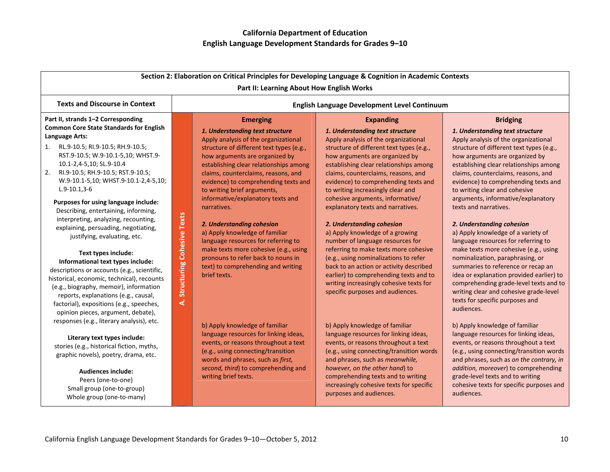| Section 2: Elaboration on Critical Principles for Developing Language & Cognition in Academic Contexts<br>Part II: Learning About How English Works                                                                                                                                                                                                                                                                                                                                                                                                                                                                                                                                                                                                             |                                      |                                                                                                                                                                                                                                                                                                                                                                                                                                                                                                                                                                                                                                 |                                                                                                                                                                                                                                                                                                                                                                                                                                                                                                                                                                                                                                                                                                                                                                            |                                                                                                                                                                                                                                                                                                                                                                                                                                                                                                                                                                                                                                                                                                                                                                |
|-----------------------------------------------------------------------------------------------------------------------------------------------------------------------------------------------------------------------------------------------------------------------------------------------------------------------------------------------------------------------------------------------------------------------------------------------------------------------------------------------------------------------------------------------------------------------------------------------------------------------------------------------------------------------------------------------------------------------------------------------------------------|--------------------------------------|---------------------------------------------------------------------------------------------------------------------------------------------------------------------------------------------------------------------------------------------------------------------------------------------------------------------------------------------------------------------------------------------------------------------------------------------------------------------------------------------------------------------------------------------------------------------------------------------------------------------------------|----------------------------------------------------------------------------------------------------------------------------------------------------------------------------------------------------------------------------------------------------------------------------------------------------------------------------------------------------------------------------------------------------------------------------------------------------------------------------------------------------------------------------------------------------------------------------------------------------------------------------------------------------------------------------------------------------------------------------------------------------------------------------|----------------------------------------------------------------------------------------------------------------------------------------------------------------------------------------------------------------------------------------------------------------------------------------------------------------------------------------------------------------------------------------------------------------------------------------------------------------------------------------------------------------------------------------------------------------------------------------------------------------------------------------------------------------------------------------------------------------------------------------------------------------|
| <b>Texts and Discourse in Context</b>                                                                                                                                                                                                                                                                                                                                                                                                                                                                                                                                                                                                                                                                                                                           |                                      |                                                                                                                                                                                                                                                                                                                                                                                                                                                                                                                                                                                                                                 | <b>English Language Development Level Continuum</b>                                                                                                                                                                                                                                                                                                                                                                                                                                                                                                                                                                                                                                                                                                                        |                                                                                                                                                                                                                                                                                                                                                                                                                                                                                                                                                                                                                                                                                                                                                                |
| Part II, strands 1-2 Corresponding<br><b>Common Core State Standards for English</b><br>Language Arts:<br>1. RL.9-10.5; RI.9-10.5; RH.9-10.5;<br>RST.9-10.5; W.9-10.1-5,10; WHST.9-<br>10.1-2,4-5,10; SL.9-10.4<br>2.<br>RI.9-10.5; RH.9-10.5; RST.9-10.5;<br>W.9-10.1-5,10; WHST.9-10.1-2,4-5,10;<br>$L.9-10.1,3-6$<br>Purposes for using language include:<br>Describing, entertaining, informing,<br>interpreting, analyzing, recounting,<br>explaining, persuading, negotiating,<br>justifying, evaluating, etc.<br>Text types include:<br>Informational text types include:<br>descriptions or accounts (e.g., scientific,<br>historical, economic, technical), recounts<br>(e.g., biography, memoir), information<br>reports, explanations (e.g., causal, | <b>Cohesive Texts</b><br>Structuring | <b>Emerging</b><br>1. Understanding text structure<br>Apply analysis of the organizational<br>structure of different text types (e.g.,<br>how arguments are organized by<br>establishing clear relationships among<br>claims, counterclaims, reasons, and<br>evidence) to comprehending texts and<br>to writing brief arguments,<br>informative/explanatory texts and<br>narratives.<br>2. Understanding cohesion<br>a) Apply knowledge of familiar<br>language resources for referring to<br>make texts more cohesive (e.g., using<br>pronouns to refer back to nouns in<br>text) to comprehending and writing<br>brief texts. | <b>Expanding</b><br>1. Understanding text structure<br>Apply analysis of the organizational<br>structure of different text types (e.g.,<br>how arguments are organized by<br>establishing clear relationships among<br>claims, counterclaims, reasons, and<br>evidence) to comprehending texts and<br>to writing increasingly clear and<br>cohesive arguments, informative/<br>explanatory texts and narratives.<br>2. Understanding cohesion<br>a) Apply knowledge of a growing<br>number of language resources for<br>referring to make texts more cohesive<br>(e.g., using nominalizations to refer<br>back to an action or activity described<br>earlier) to comprehending texts and to<br>writing increasingly cohesive texts for<br>specific purposes and audiences. | <b>Bridging</b><br>1. Understanding text structure<br>Apply analysis of the organizational<br>structure of different text types (e.g.,<br>how arguments are organized by<br>establishing clear relationships among<br>claims, counterclaims, reasons, and<br>evidence) to comprehending texts and<br>to writing clear and cohesive<br>arguments, informative/explanatory<br>texts and narratives.<br>2. Understanding cohesion<br>a) Apply knowledge of a variety of<br>language resources for referring to<br>make texts more cohesive (e.g., using<br>nominalization, paraphrasing, or<br>summaries to reference or recap an<br>idea or explanation provided earlier) to<br>comprehending grade-level texts and to<br>writing clear and cohesive grade-level |
| factorial), expositions (e.g., speeches,<br>opinion pieces, argument, debate),<br>responses (e.g., literary analysis), etc.<br>Literary text types include:<br>stories (e.g., historical fiction, myths,<br>graphic novels), poetry, drama, etc.<br><b>Audiences include:</b><br>Peers (one-to-one)<br>Small group (one-to-group)<br>Whole group (one-to-many)                                                                                                                                                                                                                                                                                                                                                                                                  | दं                                   | b) Apply knowledge of familiar<br>language resources for linking ideas,<br>events, or reasons throughout a text<br>(e.g., using connecting/transition<br>words and phrases, such as first,<br>second, third) to comprehending and<br>writing brief texts.                                                                                                                                                                                                                                                                                                                                                                       | b) Apply knowledge of familiar<br>language resources for linking ideas,<br>events, or reasons throughout a text<br>(e.g., using connecting/transition words<br>and phrases, such as meanwhile,<br>however, on the other hand) to<br>comprehending texts and to writing<br>increasingly cohesive texts for specific<br>purposes and audiences.                                                                                                                                                                                                                                                                                                                                                                                                                              | texts for specific purposes and<br>audiences.<br>b) Apply knowledge of familiar<br>language resources for linking ideas,<br>events, or reasons throughout a text<br>(e.g., using connecting/transition words<br>and phrases, such as on the contrary, in<br>addition, moreover) to comprehending<br>grade-level texts and to writing<br>cohesive texts for specific purposes and<br>audiences.                                                                                                                                                                                                                                                                                                                                                                 |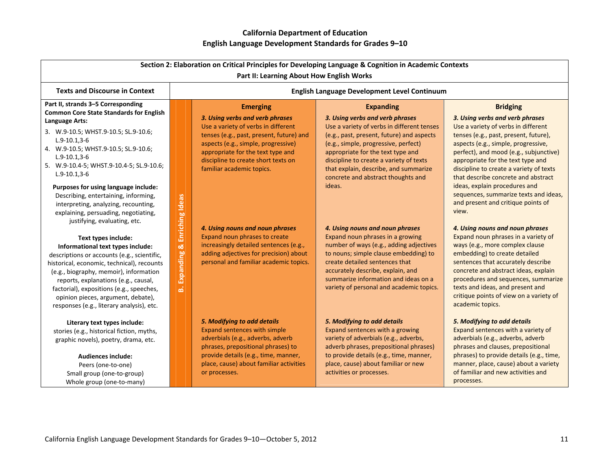| Section 2: Elaboration on Critical Principles for Developing Language & Cognition in Academic Contexts<br>Part II: Learning About How English Works                                                                                                                                                                                                                    |                                              |                                                                                                                                                                                                                                                                    |                                                                                                                                                                                                                                                                                                                                   |                                                                                                                                                                                                                                                                                                                                 |
|------------------------------------------------------------------------------------------------------------------------------------------------------------------------------------------------------------------------------------------------------------------------------------------------------------------------------------------------------------------------|----------------------------------------------|--------------------------------------------------------------------------------------------------------------------------------------------------------------------------------------------------------------------------------------------------------------------|-----------------------------------------------------------------------------------------------------------------------------------------------------------------------------------------------------------------------------------------------------------------------------------------------------------------------------------|---------------------------------------------------------------------------------------------------------------------------------------------------------------------------------------------------------------------------------------------------------------------------------------------------------------------------------|
| <b>Texts and Discourse in Context</b>                                                                                                                                                                                                                                                                                                                                  | English Language Development Level Continuum |                                                                                                                                                                                                                                                                    |                                                                                                                                                                                                                                                                                                                                   |                                                                                                                                                                                                                                                                                                                                 |
| Part II, strands 3-5 Corresponding<br><b>Common Core State Standards for English</b>                                                                                                                                                                                                                                                                                   |                                              | <b>Emerging</b>                                                                                                                                                                                                                                                    | <b>Expanding</b>                                                                                                                                                                                                                                                                                                                  | <b>Bridging</b>                                                                                                                                                                                                                                                                                                                 |
| Language Arts:<br>3. W.9-10.5; WHST.9-10.5; SL.9-10.6;<br>$L.9 - 10.1.3 - 6$<br>4. W.9-10.5; WHST.9-10.5; SL.9-10.6;<br>$L.9-10.1,3-6$<br>5. W.9-10.4-5; WHST.9-10.4-5; SL.9-10.6;<br>$L.9-10.1,3-6$                                                                                                                                                                   |                                              | 3. Using verbs and verb phrases<br>Use a variety of verbs in different<br>tenses (e.g., past, present, future) and<br>aspects (e.g., simple, progressive)<br>appropriate for the text type and<br>discipline to create short texts on<br>familiar academic topics. | 3. Using verbs and verb phrases<br>Use a variety of verbs in different tenses<br>(e.g., past, present, future) and aspects<br>(e.g., simple, progressive, perfect)<br>appropriate for the text type and<br>discipline to create a variety of texts<br>that explain, describe, and summarize<br>concrete and abstract thoughts and | 3. Using verbs and verb phrases<br>Use a variety of verbs in different<br>tenses (e.g., past, present, future),<br>aspects (e.g., simple, progressive,<br>perfect), and mood (e.g., subjunctive)<br>appropriate for the text type and<br>discipline to create a variety of texts<br>that describe concrete and abstract         |
| Purposes for using language include:<br>Describing, entertaining, informing,<br>interpreting, analyzing, recounting,<br>explaining, persuading, negotiating,<br>justifying, evaluating, etc.                                                                                                                                                                           | Enriching Ideas                              | 4. Using nouns and noun phrases                                                                                                                                                                                                                                    | ideas.<br>4. Using nouns and noun phrases                                                                                                                                                                                                                                                                                         | ideas, explain procedures and<br>sequences, summarize texts and ideas,<br>and present and critique points of<br>view.<br>4. Using nouns and noun phrases                                                                                                                                                                        |
| Text types include:<br>Informational text types include:<br>descriptions or accounts (e.g., scientific,<br>historical, economic, technical), recounts<br>(e.g., biography, memoir), information<br>reports, explanations (e.g., causal,<br>factorial), expositions (e.g., speeches,<br>opinion pieces, argument, debate),<br>responses (e.g., literary analysis), etc. | Expanding &<br>ക്                            | Expand noun phrases to create<br>increasingly detailed sentences (e.g.,<br>adding adjectives for precision) about<br>personal and familiar academic topics.                                                                                                        | Expand noun phrases in a growing<br>number of ways (e.g., adding adjectives<br>to nouns; simple clause embedding) to<br>create detailed sentences that<br>accurately describe, explain, and<br>summarize information and ideas on a<br>variety of personal and academic topics.                                                   | Expand noun phrases in a variety of<br>ways (e.g., more complex clause<br>embedding) to create detailed<br>sentences that accurately describe<br>concrete and abstract ideas, explain<br>procedures and sequences, summarize<br>texts and ideas, and present and<br>critique points of view on a variety of<br>academic topics. |
| Literary text types include:<br>stories (e.g., historical fiction, myths,<br>graphic novels), poetry, drama, etc.<br><b>Audiences include:</b><br>Peers (one-to-one)<br>Small group (one-to-group)<br>Whole group (one-to-many)                                                                                                                                        |                                              | 5. Modifying to add details<br>Expand sentences with simple<br>adverbials (e.g., adverbs, adverb<br>phrases, prepositional phrases) to<br>provide details (e.g., time, manner,<br>place, cause) about familiar activities<br>or processes.                         | 5. Modifying to add details<br>Expand sentences with a growing<br>variety of adverbials (e.g., adverbs,<br>adverb phrases, prepositional phrases)<br>to provide details (e.g., time, manner,<br>place, cause) about familiar or new<br>activities or processes.                                                                   | 5. Modifying to add details<br>Expand sentences with a variety of<br>adverbials (e.g., adverbs, adverb<br>phrases and clauses, prepositional<br>phrases) to provide details (e.g., time,<br>manner, place, cause) about a variety<br>of familiar and new activities and<br>processes.                                           |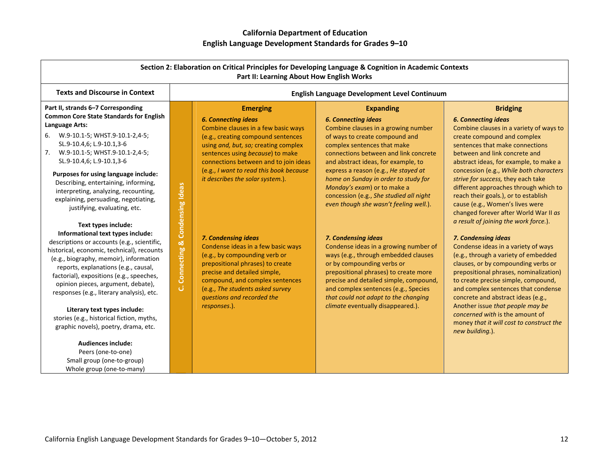| Section 2: Elaboration on Critical Principles for Developing Language & Cognition in Academic Contexts<br>Part II: Learning About How English Works                                                                                                                                                                                                                    |                        |                                                                                                                                                                                                                                                                     |                                                                                                                                                                                                                                                                                                       |                                                                                                                                                                                                                                                                                                                                                  |
|------------------------------------------------------------------------------------------------------------------------------------------------------------------------------------------------------------------------------------------------------------------------------------------------------------------------------------------------------------------------|------------------------|---------------------------------------------------------------------------------------------------------------------------------------------------------------------------------------------------------------------------------------------------------------------|-------------------------------------------------------------------------------------------------------------------------------------------------------------------------------------------------------------------------------------------------------------------------------------------------------|--------------------------------------------------------------------------------------------------------------------------------------------------------------------------------------------------------------------------------------------------------------------------------------------------------------------------------------------------|
| <b>Texts and Discourse in Context</b>                                                                                                                                                                                                                                                                                                                                  |                        |                                                                                                                                                                                                                                                                     | <b>English Language Development Level Continuum</b>                                                                                                                                                                                                                                                   |                                                                                                                                                                                                                                                                                                                                                  |
| Part II, strands 6-7 Corresponding<br><b>Common Core State Standards for English</b><br>Language Arts:                                                                                                                                                                                                                                                                 |                        | <b>Emerging</b><br><b>6. Connecting ideas</b>                                                                                                                                                                                                                       | <b>Expanding</b><br><b>6. Connecting ideas</b>                                                                                                                                                                                                                                                        | <b>Bridging</b><br><b>6. Connecting ideas</b>                                                                                                                                                                                                                                                                                                    |
| 6. W.9-10.1-5; WHST.9-10.1-2,4-5;<br>SL.9-10.4,6; L.9-10.1,3-6<br>7. W.9-10.1-5; WHST.9-10.1-2,4-5;<br>SL.9-10.4,6; L.9-10.1,3-6                                                                                                                                                                                                                                       |                        | Combine clauses in a few basic ways<br>(e.g., creating compound sentences<br>using and, but, so; creating complex<br>sentences using because) to make<br>connections between and to join ideas                                                                      | Combine clauses in a growing number<br>of ways to create compound and<br>complex sentences that make<br>connections between and link concrete<br>and abstract ideas, for example, to                                                                                                                  | Combine clauses in a variety of ways to<br>create compound and complex<br>sentences that make connections<br>between and link concrete and<br>abstract ideas, for example, to make a                                                                                                                                                             |
| Purposes for using language include:<br>Describing, entertaining, informing,<br>interpreting, analyzing, recounting,<br>explaining, persuading, negotiating,<br>justifying, evaluating, etc.                                                                                                                                                                           | & Condensing Ideas     | (e.g., I want to read this book because<br>it describes the solar system.).                                                                                                                                                                                         | express a reason (e.g., He stayed at<br>home on Sunday in order to study for<br>Monday's exam) or to make a<br>concession (e.g., She studied all night<br>even though she wasn't feeling well.).                                                                                                      | concession (e.g., While both characters<br>strive for success, they each take<br>different approaches through which to<br>reach their goals.), or to establish<br>cause (e.g., Women's lives were<br>changed forever after World War II as                                                                                                       |
| Text types include:<br>Informational text types include:<br>descriptions or accounts (e.g., scientific,<br>historical, economic, technical), recounts<br>(e.g., biography, memoir), information<br>reports, explanations (e.g., causal,<br>factorial), expositions (e.g., speeches,<br>opinion pieces, argument, debate),<br>responses (e.g., literary analysis), etc. | <b>Connecting</b><br>ن | 7. Condensing ideas<br>Condense ideas in a few basic ways<br>(e.g., by compounding verb or<br>prepositional phrases) to create<br>precise and detailed simple,<br>compound, and complex sentences<br>(e.g., The students asked survey<br>questions and recorded the | 7. Condensing ideas<br>Condense ideas in a growing number of<br>ways (e.g., through embedded clauses<br>or by compounding verbs or<br>prepositional phrases) to create more<br>precise and detailed simple, compound,<br>and complex sentences (e.g., Species<br>that could not adapt to the changing | a result of joining the work force.).<br>7. Condensing ideas<br>Condense ideas in a variety of ways<br>(e.g., through a variety of embedded<br>clauses, or by compounding verbs or<br>prepositional phrases, nominalization)<br>to create precise simple, compound,<br>and complex sentences that condense<br>concrete and abstract ideas (e.g., |
| Literary text types include:<br>stories (e.g., historical fiction, myths,<br>graphic novels), poetry, drama, etc.<br><b>Audiences include:</b><br>Peers (one-to-one)<br>Small group (one-to-group)                                                                                                                                                                     |                        | responses.).                                                                                                                                                                                                                                                        | climate eventually disappeared.).                                                                                                                                                                                                                                                                     | Another issue that people may be<br>concerned with is the amount of<br>money that it will cost to construct the<br>new building.).                                                                                                                                                                                                               |

Whole group (one‐to‐many)